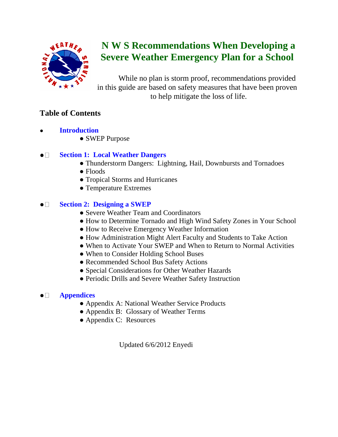

# **N W S Recommendations When Developing a Severe Weather Emergency Plan for a School**

While no plan is storm proof, recommendations provided in this guide are based on safety measures that have been proven to help mitigate the loss of life.

## **Table of Contents**

- **Introduction** 
	- SWEP Purpose

#### $\bullet$   $\Box$ **Section 1: Local Weather Dangers**

- Thunderstorm Dangers: Lightning, Hail, Downbursts and Tornadoes
- Floods
- Tropical Storms and Hurricanes
- Temperature Extremes

#### $\bullet$   $\square$ **Section 2: Designing a SWEP**

- Severe Weather Team and Coordinators
- How to Determine Tornado and High Wind Safety Zones in Your School
- How to Receive Emergency Weather Information
- How Administration Might Alert Faculty and Students to Take Action
- When to Activate Your SWEP and When to Return to Normal Activities
- When to Consider Holding School Buses
- Recommended School Bus Safety Actions
- Special Considerations for Other Weather Hazards
- Periodic Drills and Severe Weather Safety Instruction

#### **Appendices**  $\bullet$   $\square$

- Appendix A: National Weather Service Products
- Appendix B: Glossary of Weather Terms
- Appendix C: Resources

Updated 6/6/2012 Enyedi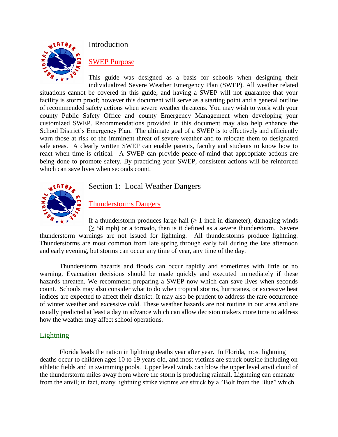

### Introduction

### SWEP Purpose

This guide was designed as a basis for schools when designing their individualized Severe Weather Emergency Plan (SWEP). All weather related

situations cannot be covered in this guide, and having a SWEP will not guarantee that your facility is storm proof; however this document will serve as a starting point and a general outline of recommended safety actions when severe weather threatens. You may wish to work with your county Public Safety Office and county Emergency Management when developing your customized SWEP. Recommendations provided in this document may also help enhance the School District's Emergency Plan. The ultimate goal of a SWEP is to effectively and efficiently warn those at risk of the imminent threat of severe weather and to relocate them to designated safe areas. A clearly written SWEP can enable parents, faculty and students to know how to react when time is critical. A SWEP can provide peace-of-mind that appropriate actions are being done to promote safety. By practicing your SWEP, consistent actions will be reinforced which can save lives when seconds count.



Section 1: Local Weather Dangers

## Thunderstorms Dangers

If a thunderstorm produces large hail  $(≥ 1$  inch in diameter), damaging winds  $(\geq 58 \text{ mph})$  or a tornado, then is it defined as a severe thunderstorm. Severe

thunderstorm warnings are not issued for lightning. All thunderstorms produce lightning. Thunderstorms are most common from late spring through early fall during the late afternoon and early evening, but storms can occur any time of year, any time of the day.

Thunderstorm hazards and floods can occur rapidly and sometimes with little or no warning. Evacuation decisions should be made quickly and executed immediately if these hazards threaten. We recommend preparing a SWEP now which can save lives when seconds count. Schools may also consider what to do when tropical storms, hurricanes, or excessive heat indices are expected to affect their district. It may also be prudent to address the rare occurrence of winter weather and excessive cold. These weather hazards are not routine in our area and are usually predicted at least a day in advance which can allow decision makers more time to address how the weather may affect school operations.

### Lightning

Florida leads the nation in lightning deaths year after year. In Florida, most lightning deaths occur to children ages 10 to 19 years old, and most victims are struck outside including on athletic fields and in swimming pools. Upper level winds can blow the upper level anvil cloud of the thunderstorm miles away from where the storm is producing rainfall. Lightning can emanate from the anvil; in fact, many lightning strike victims are struck by a "Bolt from the Blue" which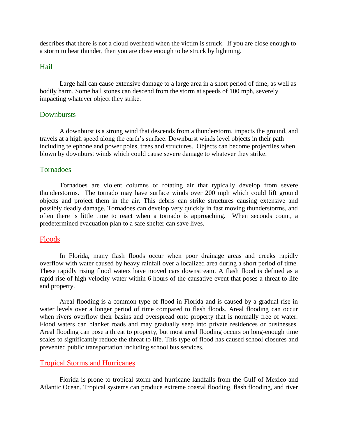describes that there is not a cloud overhead when the victim is struck. If you are close enough to a storm to hear thunder, then you are close enough to be struck by lightning.

#### Hail

Large hail can cause extensive damage to a large area in a short period of time, as well as bodily harm. Some hail stones can descend from the storm at speeds of 100 mph, severely impacting whatever object they strike.

#### **Downbursts**

A downburst is a strong wind that descends from a thunderstorm, impacts the ground, and travels at a high speed along the earth's surface. Downburst winds level objects in their path including telephone and power poles, trees and structures. Objects can become projectiles when blown by downburst winds which could cause severe damage to whatever they strike.

#### Tornadoes

Tornadoes are violent columns of rotating air that typically develop from severe thunderstorms. The tornado may have surface winds over 200 mph which could lift ground objects and project them in the air. This debris can strike structures causing extensive and possibly deadly damage. Tornadoes can develop very quickly in fast moving thunderstorms, and often there is little time to react when a tornado is approaching. When seconds count, a predetermined evacuation plan to a safe shelter can save lives.

#### Floods

In Florida, many flash floods occur when poor drainage areas and creeks rapidly overflow with water caused by heavy rainfall over a localized area during a short period of time. These rapidly rising flood waters have moved cars downstream. A flash flood is defined as a rapid rise of high velocity water within 6 hours of the causative event that poses a threat to life and property.

Areal flooding is a common type of flood in Florida and is caused by a gradual rise in water levels over a longer period of time compared to flash floods. Areal flooding can occur when rivers overflow their basins and overspread onto property that is normally free of water. Flood waters can blanket roads and may gradually seep into private residences or businesses. Areal flooding can pose a threat to property, but most areal flooding occurs on long-enough time scales to significantly reduce the threat to life. This type of flood has caused school closures and prevented public transportation including school bus services.

#### Tropical Storms and Hurricanes

Florida is prone to tropical storm and hurricane landfalls from the Gulf of Mexico and Atlantic Ocean. Tropical systems can produce extreme coastal flooding, flash flooding, and river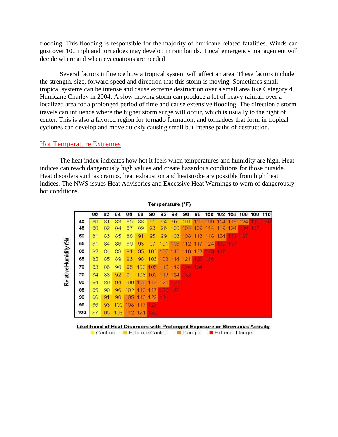flooding. This flooding is responsible for the majority of hurricane related fatalities. Winds can gust over 100 mph and tornadoes may develop in rain bands. Local emergency management will decide where and when evacuations are needed.

Several factors influence how a tropical system will affect an area. These factors include the strength, size, forward speed and direction that this storm is moving. Sometimes small tropical systems can be intense and cause extreme destruction over a small area like Category 4 Hurricane Charley in 2004. A slow moving storm can produce a lot of heavy rainfall over a localized area for a prolonged period of time and cause extensive flooding. The direction a storm travels can influence where the higher storm surge will occur, which is usually to the right of center. This is also a favored region for tornado formation, and tornadoes that form in tropical cyclones can develop and move quickly causing small but intense paths of destruction.

#### Hot Temperature Extremes

The heat index indicates how hot it feels when temperatures and humidity are high. Heat indices can reach dangerously high values and create hazardous conditions for those outside. Heat disorders such as cramps, heat exhaustion and heatstroke are possible from high heat indices. The NWS issues Heat Advisories and Excessive Heat Warnings to warn of dangerously hot conditions.

|                       |     | 80 | 82 | 84  | 86  | 88               | 90  | 92      | 94  | 96       | 98  |     |                          |        | 100 102 104 106 108 110 |     |           |
|-----------------------|-----|----|----|-----|-----|------------------|-----|---------|-----|----------|-----|-----|--------------------------|--------|-------------------------|-----|-----------|
| Relative Humidity (%) | 40  | 80 | 81 | 83  | 85  | 88               | 91  | 94      | 97  | 10.<br>1 | 105 | 109 | 1<br>1<br>$\overline{A}$ | 9<br>1 | 124                     |     | $\bullet$ |
|                       | 45  | 80 | 82 | 84  | 87  | 89               | 93  | 96      | 100 | 104      | 109 | 114 | 9<br>11                  | 124    | 130                     | 137 |           |
|                       | 50  | 81 | 83 | 85  | 88  | 91               | 95  | 99      | 103 | 108      | 113 | 118 | 124                      | 131    | 137                     |     |           |
|                       | 55  | 81 | 84 | 86  | 89  | 93               | 97  | 101     | 106 | 112      | 117 | 124 | 130                      | 137    |                         |     |           |
|                       | 60  | 82 | 84 | 88  | 91  | 95               | 100 | 105     | 110 | 116      | 123 | 179 | 137                      |        |                         |     |           |
|                       | 65  | 82 | 85 | 89  | 93  | 98               | 103 | 108     | 114 | 121      | 28  | 136 |                          |        |                         |     |           |
|                       | 70  | 83 | 86 | 90  | 95  | 100              | 105 | 12<br>1 | 119 | rов      | 134 |     |                          |        |                         |     |           |
|                       | 75  | 84 | 88 | 92  | 97  | 103 <sub>1</sub> | 109 | 116     | 124 | 132      |     |     |                          |        |                         |     |           |
|                       | 80  | 84 | 89 | 94  | 100 | 106              | 113 | 121     | 29  |          |     |     |                          |        |                         |     |           |
|                       | 85  | 85 | 90 | 96  | 102 | 110              | 17  | 26      | 135 |          |     |     |                          |        |                         |     |           |
|                       | 90  | 86 | 91 | 98  | 105 | 113              | 122 | 131     |     |          |     |     |                          |        |                         |     |           |
|                       | 95  | 86 | 93 | 100 | 108 | 117              | 127 |         |     |          |     |     |                          |        |                         |     |           |
|                       | 100 | 87 | 95 | 103 |     | 112 121          | 132 |         |     |          |     |     |                          |        |                         |     |           |

Temperature (°F)

Likelihood of Heat Disorders with Prolonged Exposure or Strenuous Activity

Caution Extreme Caution Danger Extreme Danger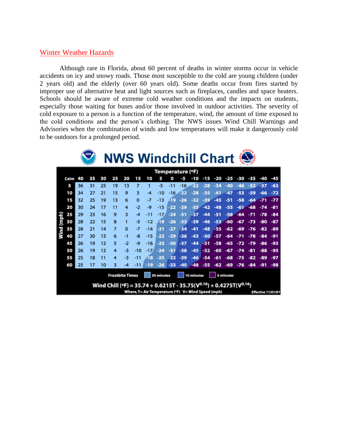#### Winter Weather Hazards

Although rare in Florida, about 60 percent of deaths in winter storms occur in vehicle accidents on icy and snowy roads. Those most susceptible to the cold are young children (under 2 years old) and the elderly (over 60 years old). Some deaths occur from fires started by improper use of alternative heat and light sources such as fireplaces, candles and space heaters. Schools should be aware of extreme cold weather conditions and the impacts on students, especially those waiting for buses and/or those involved in outdoor activities. The severity of cold exposure to a person is a function of the temperature, wind, the amount of time exposed to the cold conditions and the person's clothing. The NWS issues Wind Chill Warnings and Advisories when the combination of winds and low temperatures will make it dangerously cold to be outdoors for a prolonged period.

|                        |      |    |    |    | <b>NWS Windchill Chart Straw</b>                                                |          |                |                                       |                                                    |       |       |       |       |       |        |       |       |                    |       |
|------------------------|------|----|----|----|---------------------------------------------------------------------------------|----------|----------------|---------------------------------------|----------------------------------------------------|-------|-------|-------|-------|-------|--------|-------|-------|--------------------|-------|
|                        |      |    |    |    |                                                                                 |          |                |                                       | Temperature (°F)                                   |       |       |       |       |       |        |       |       |                    |       |
|                        | Calm | 40 | 35 | 30 | 25                                                                              | 20       | 15             | 10                                    | 5                                                  | O     | 43.   | -10   | $-15$ | -20   | -25    | -30   | -35   | -40                | -45   |
|                        | 5    | 36 | 31 | 25 | 19                                                                              | 13       | $\overline{7}$ | 1                                     | -5                                                 | $-11$ | $-16$ | -22   | $-28$ | $-34$ | $-40$  | $-46$ | $-52$ | -57                | $-63$ |
|                        | 10   | 34 | 27 | 21 | 15                                                                              | 9        | 3              | -4                                    | -10                                                | $-16$ | -22   | $-28$ | -35   |       | $-47$  | $-53$ | -59   | -66                | $-72$ |
| Wind (mph)             | 15   | 32 | 25 | 19 | 13                                                                              | 6        | $\Omega$       | -7                                    | $-13$                                              | -19   | $-26$ | $-32$ | $-39$ | $-45$ | $-51$  | $-58$ | $-64$ | $-71$              | $-77$ |
|                        | 20   | 30 | 24 | 17 | 11                                                                              | 4        | $-2$           | -9                                    | $-15$                                              | $-22$ | $-29$ | $-35$ | $-42$ | $-48$ | $-55$  | $-61$ | $-68$ | $-74$              | $-81$ |
|                        | 25   | 29 | 23 | 16 | 9                                                                               | 3        | -4             | $-11$                                 | $-17/$                                             | $-24$ | -31   | -37   | $-44$ | $-51$ | $-58.$ | $-64$ | -71   | -78                | -84   |
|                        | 30   | 28 | 22 | 15 | 8                                                                               | 1        | -5             | $-12$                                 | -19                                                | $-26$ | $-33$ | $-39$ | $-46$ | $-53$ | $-60$  | $-67$ | $-73$ | -80                | -87   |
|                        | 35   | 28 | 21 | 14 | $\overline{z}$                                                                  | $\Omega$ | $-7$           | $-14$                                 | -21                                                | -27   | $-34$ | $-41$ | $-48$ | -55   | -62    | -69   | -76   | -82                | -89   |
|                        | 40   | 27 | 20 | 13 | 6                                                                               | $-1$     | -8             | $-15$                                 | -22                                                | $-29$ | $-36$ | $-43$ | $-50$ | $-57$ | -64    | -71   | -78   | -84                | -91   |
|                        | 45   | 26 | 19 | 12 | 5                                                                               | $-2$     | -9             | $-16$                                 | $-23$                                              | $-30$ | $-37$ | $-44$ | -51   | $-58$ | -65    | -72   | -79   | -86                | -93   |
|                        | 50   | 26 | 19 | 12 | 4                                                                               | -3       | -10            | $-17/$                                | $-24$                                              | -31   | $-38$ | $-45$ | $-52$ | -60   | $-67$  | $-74$ | -81   | $-88$              | -95   |
|                        | 55   | 25 | 18 | 11 | 4                                                                               | -3       | $-11$          | $-18$                                 | $-25$                                              | $-32$ | $-39$ | $-46$ | $-54$ | $-61$ | $-68$  | $-75$ | -82   | -89                | -97   |
|                        | 60   | 25 | 17 | 10 | 3                                                                               |          |                | -19                                   | -26                                                | $-33$ | $-40$ | $-48$ | -55   | -62   | -69    | $-76$ | -84   |                    | -98   |
| <b>Frostbite Times</b> |      |    |    |    |                                                                                 |          |                | 30 minutes<br>10 minutes<br>5 minutes |                                                    |       |       |       |       |       |        |       |       |                    |       |
|                        |      |    |    |    | Wind Chill (°F) = 35.74 + 0.6215T - 35.75( $V^{0.16}$ ) + 0.4275T( $V^{0.16}$ ) |          |                |                                       | Where, T= Air Temperature (°F) V= Wind Speed (mph) |       |       |       |       |       |        |       |       | Effective 11/01/01 |       |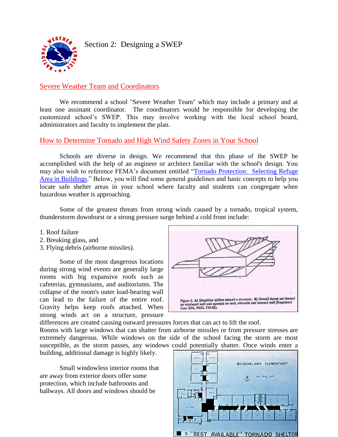**SEATHA** 

Section 2: Designing a SWEP

## Severe Weather Team and Coordinators

We recommend a school "Severe Weather Team" which may include a primary and at least one assistant coordinator. The coordinators would be responsible for developing the customized school's SWEP. This may involve working with the local school board, administrators and faculty to implement the plan.

#### How to Determine Tornado and High Wind Safety Zones in Your School

Schools are diverse in design. We recommend that this phase of the SWEP be accomplished with the help of an engineer or architect familiar with the school's design. You may also wish to reference FEMA's document entitled ["Tornado Protection: Selecting Refuge](http://www.fema.gov/library/viewRecord.do?id=1563)  [Area in Buildings.](http://www.fema.gov/library/viewRecord.do?id=1563)" Below, you will find some general guidelines and basic concepts to help you locate safe shelter areas in your school where faculty and students can congregate when hazardous weather is approaching.

Some of the greatest threats from strong winds caused by a tornado, tropical system, thunderstorm downburst or a strong pressure surge behind a cold front include:

- 1. Roof failure
- 2. Breaking glass, and
- 3. Flying debris (airborne missiles).

Some of the most dangerous locations during strong wind events are generally large rooms with big expansive roofs such as cafeterias, gymnasiums, and auditoriums. The collapse of the room's outer load-bearing wall can lead to the failure of the entire roof. Gravity helps keep roofs attached. When strong winds act on a structure, pressure



differences are created causing outward pressures forces that can act to lift the roof.

Rooms with large windows that can shatter from airborne missiles or from pressure stresses are extremely dangerous. While windows on the side of the school facing the storm are most susceptible, as the storm passes, any windows could potentially shatter. Once winds enter a

building, additional damage is highly likely.

Small windowless interior rooms that are away from exterior doors offer some protection, which include bathrooms and hallways. All doors and windows should be

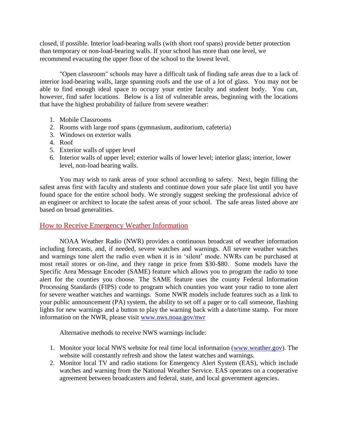closed, if possible. Interior load-bearing walls (with short roof spans) provide better protection than temporary or non-load-bearing walls. If your school has more than one level, we recommend evacuating the upper floor of the school to the lowest level.

"Open classroom" schools may have a difficult task of finding safe areas due to a lack of interior load-bearing walls, large spanning roofs and the use of a lot of glass. You may not be able to find enough ideal space to occupy your entire faculty and student body. You can, however, find safer locations. Below is a list of vulnerable areas, beginning with the locations that have the highest probability of failure from severe weather:

- 1. Mobile Classrooms
- 2. Rooms with large roof spans (gymnasium, auditorium, cafeteria)
- 3. Windows on exterior walls
- 4. Roof
- 5. Exterior walls of upper level
- 6. Interior walls of upper level; exterior walls of lower level; interior glass; interior, lower level, non-load bearing walls.

You may wish to rank areas of your school according to safety. Next, begin filling the safest areas first with faculty and students and continue down your safe place list until you have found space for the entire school body. We strongly suggest seeking the professional advice of an engineer or architect to locate the safest areas of your school. The safe areas listed above are based on broad generalities.

#### How to Receive Emergency Weather Information

NOAA Weather Radio (NWR) provides a continuous broadcast of weather information including forecasts, and, if needed, severe watches and warnings. All severe weather watches and warnings tone alert the radio even when it is in 'silent' mode. NWRs can be purchased at most retail stores or on-line, and they range in price from \$30-\$80. Some models have the Specific Area Message Encoder (SAME) feature which allows you to program the radio to tone alert for the counties you choose. The SAME feature uses the county Federal Information Processing Standards (FIPS) code to program which counties you want your radio to tone alert for severe weather watches and warnings. Some NWR models include features such as a link to your public announcement (PA) system, the ability to set off a pager or to call someone, flashing lights for new warnings and a button to play the warning back with a date/time stamp. For more information on the NWR, please visit [www.nws.noaa.gov/nwr](http://www.nws.noaa.gov/nwr)

Alternative methods to receive NWS warnings include:

- 1. Monitor your local NWS website for real time local information [\(www.weather.gov\)](http://www.weather.gov/). The website will constantly refresh and show the latest watches and warnings.
- 2. Monitor local TV and radio stations for Emergency Alert System (EAS), which include watches and warning from the National Weather Service. EAS operates on a cooperative agreement between broadcasters and federal, state, and local government agencies.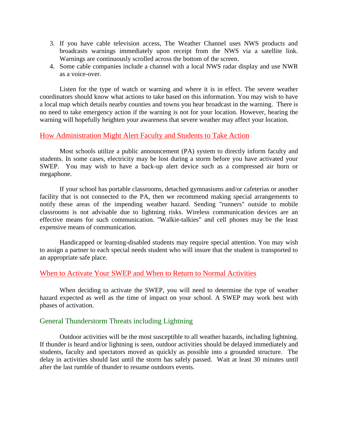- 3. If you have cable television access, The Weather Channel uses NWS products and broadcasts warnings immediately upon receipt from the NWS via a satellite link. Warnings are continuously scrolled across the bottom of the screen.
- 4. Some cable companies include a channel with a local NWS radar display and use NWR as a voice-over.

Listen for the type of watch or warning and where it is in effect. The severe weather coordinators should know what actions to take based on this information. You may wish to have a local map which details nearby counties and towns you hear broadcast in the warning. There is no need to take emergency action if the warning is not for your location. However, hearing the warning will hopefully heighten your awareness that severe weather may affect your location.

#### How Administration Might Alert Faculty and Students to Take Action

Most schools utilize a public announcement (PA) system to directly inform faculty and students. In some cases, electricity may be lost during a storm before you have activated your SWEP. You may wish to have a back-up alert device such as a compressed air horn or megaphone.

If your school has portable classrooms, detached gymnasiums and/or cafeterias or another facility that is not connected to the PA, then we recommend making special arrangements to notify these areas of the impending weather hazard. Sending "runners" outside to mobile classrooms is not advisable due to lightning risks. Wireless communication devices are an effective means for such communication. "Walkie-talkies" and cell phones may be the least expensive means of communication.

Handicapped or learning-disabled students may require special attention. You may wish to assign a partner to each special needs student who will insure that the student is transported to an appropriate safe place.

#### When to Activate Your SWEP and When to Return to Normal Activities

When deciding to activate the SWEP, you will need to determine the type of weather hazard expected as well as the time of impact on your school. A SWEP may work best with phases of activation.

#### General Thunderstorm Threats including Lightning

Outdoor activities will be the most susceptible to all weather hazards, including lightning. If thunder is heard and/or lightning is seen, outdoor activities should be delayed immediately and students, faculty and spectators moved as quickly as possible into a grounded structure. The delay in activities should last until the storm has safely passed. Wait at least 30 minutes until after the last rumble of thunder to resume outdoors events.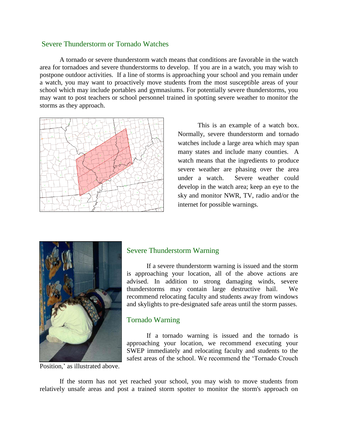#### Severe Thunderstorm or Tornado Watches

A tornado or severe thunderstorm watch means that conditions are favorable in the watch area for tornadoes and severe thunderstorms to develop. If you are in a watch, you may wish to postpone outdoor activities. If a line of storms is approaching your school and you remain under a watch, you may want to proactively move students from the most susceptible areas of your school which may include portables and gymnasiums. For potentially severe thunderstorms, you may want to post teachers or school personnel trained in spotting severe weather to monitor the storms as they approach.



This is an example of a watch box. Normally, severe thunderstorm and tornado watches include a large area which may span many states and include many counties. A watch means that the ingredients to produce severe weather are phasing over the area under a watch. Severe weather could develop in the watch area; keep an eye to the sky and monitor NWR, TV, radio and/or the internet for possible warnings.



Position,' as illustrated above.

#### Severe Thunderstorm Warning

If a severe thunderstorm warning is issued and the storm is approaching your location, all of the above actions are advised. In addition to strong damaging winds, severe thunderstorms may contain large destructive hail. We recommend relocating faculty and students away from windows and skylights to pre-designated safe areas until the storm passes.

#### Tornado Warning

If a tornado warning is issued and the tornado is approaching your location, we recommend executing your SWEP immediately and relocating faculty and students to the safest areas of the school. We recommend the 'Tornado Crouch

If the storm has not yet reached your school, you may wish to move students from relatively unsafe areas and post a trained storm spotter to monitor the storm's approach on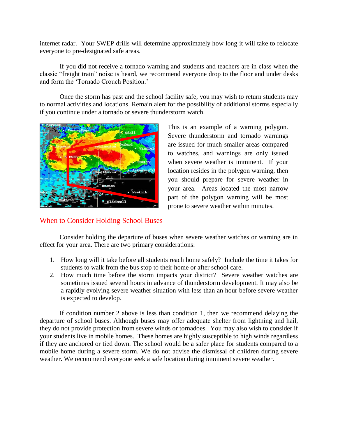internet radar. Your SWEP drills will determine approximately how long it will take to relocate everyone to pre-designated safe areas.

If you did not receive a tornado warning and students and teachers are in class when the classic "freight train" noise is heard, we recommend everyone drop to the floor and under desks and form the 'Tornado Crouch Position.'

Once the storm has past and the school facility safe, you may wish to return students may to normal activities and locations. Remain alert for the possibility of additional storms especially if you continue under a tornado or severe thunderstorm watch.



This is an example of a warning polygon. Severe thunderstorm and tornado warnings are issued for much smaller areas compared to watches, and warnings are only issued when severe weather is imminent. If your location resides in the polygon warning, then you should prepare for severe weather in your area. Areas located the most narrow part of the polygon warning will be most prone to severe weather within minutes.

### When to Consider Holding School Buses

Consider holding the departure of buses when severe weather watches or warning are in effect for your area. There are two primary considerations:

- 1. How long will it take before all students reach home safely? Include the time it takes for students to walk from the bus stop to their home or after school care.
- 2. How much time before the storm impacts your district? Severe weather watches are sometimes issued several hours in advance of thunderstorm development. It may also be a rapidly evolving severe weather situation with less than an hour before severe weather is expected to develop.

If condition number 2 above is less than condition 1, then we recommend delaying the departure of school buses. Although buses may offer adequate shelter from lightning and hail, they do not provide protection from severe winds or tornadoes. You may also wish to consider if your students live in mobile homes. These homes are highly susceptible to high winds regardless if they are anchored or tied down. The school would be a safer place for students compared to a mobile home during a severe storm. We do not advise the dismissal of children during severe weather. We recommend everyone seek a safe location during imminent severe weather.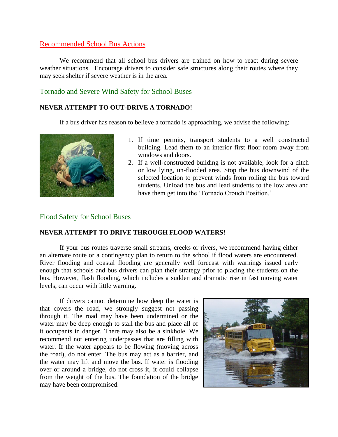#### Recommended School Bus Actions

We recommend that all school bus drivers are trained on how to react during severe weather situations. Encourage drivers to consider safe structures along their routes where they may seek shelter if severe weather is in the area.

#### Tornado and Severe Wind Safety for School Buses

#### **NEVER ATTEMPT TO OUT-DRIVE A TORNADO!**

If a bus driver has reason to believe a tornado is approaching, we advise the following:



- 1. If time permits, transport students to a well constructed building. Lead them to an interior first floor room away from windows and doors.
- 2. If a well-constructed building is not available, look for a ditch or low lying, un-flooded area. Stop the bus downwind of the selected location to prevent winds from rolling the bus toward students. Unload the bus and lead students to the low area and have them get into the 'Tornado Crouch Position.'

#### Flood Safety for School Buses

#### **NEVER ATTEMPT TO DRIVE THROUGH FLOOD WATERS!**

If your bus routes traverse small streams, creeks or rivers, we recommend having either an alternate route or a contingency plan to return to the school if flood waters are encountered. River flooding and coastal flooding are generally well forecast with warnings issued early enough that schools and bus drivers can plan their strategy prior to placing the students on the bus. However, flash flooding, which includes a sudden and dramatic rise in fast moving water levels, can occur with little warning.

If drivers cannot determine how deep the water is that covers the road, we strongly suggest not passing through it. The road may have been undermined or the water may be deep enough to stall the bus and place all of it occupants in danger. There may also be a sinkhole. We recommend not entering underpasses that are filling with water. If the water appears to be flowing (moving across the road), do not enter. The bus may act as a barrier, and the water may lift and move the bus. If water is flooding over or around a bridge, do not cross it, it could collapse from the weight of the bus. The foundation of the bridge may have been compromised.

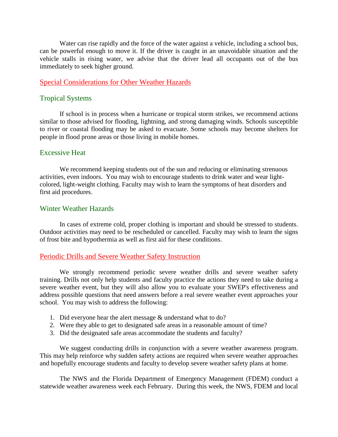Water can rise rapidly and the force of the water against a vehicle, including a school bus, can be powerful enough to move it. If the driver is caught in an unavoidable situation and the vehicle stalls in rising water, we advise that the driver lead all occupants out of the bus immediately to seek higher ground.

#### Special Considerations for Other Weather Hazards

#### Tropical Systems

If school is in process when a hurricane or tropical storm strikes, we recommend actions similar to those advised for flooding, lightning, and strong damaging winds. Schools susceptible to river or coastal flooding may be asked to evacuate. Some schools may become shelters for people in flood prone areas or those living in mobile homes.

#### Excessive Heat

We recommend keeping students out of the sun and reducing or eliminating strenuous activities, even indoors. You may wish to encourage students to drink water and wear lightcolored, light-weight clothing. Faculty may wish to learn the symptoms of heat disorders and first aid procedures.

#### Winter Weather Hazards

In cases of extreme cold, proper clothing is important and should be stressed to students. Outdoor activities may need to be rescheduled or cancelled. Faculty may wish to learn the signs of frost bite and hypothermia as well as first aid for these conditions.

#### Periodic Drills and Severe Weather Safety Instruction

We strongly recommend periodic severe weather drills and severe weather safety training. Drills not only help students and faculty practice the actions they need to take during a severe weather event, but they will also allow you to evaluate your SWEP's effectiveness and address possible questions that need answers before a real severe weather event approaches your school. You may wish to address the following:

- 1. Did everyone hear the alert message & understand what to do?
- 2. Were they able to get to designated safe areas in a reasonable amount of time?
- 3. Did the designated safe areas accommodate the students and faculty?

We suggest conducting drills in conjunction with a severe weather awareness program. This may help reinforce why sudden safety actions are required when severe weather approaches and hopefully encourage students and faculty to develop severe weather safety plans at home.

The NWS and the Florida Department of Emergency Management (FDEM) conduct a statewide weather awareness week each February. During this week, the NWS, FDEM and local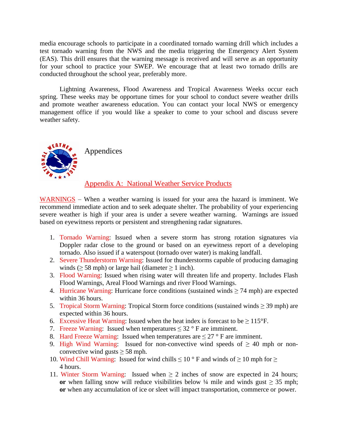media encourage schools to participate in a coordinated tornado warning drill which includes a test tornado warning from the NWS and the media triggering the Emergency Alert System (EAS). This drill ensures that the warning message is received and will serve as an opportunity for your school to practice your SWEP. We encourage that at least two tornado drills are conducted throughout the school year, preferably more.

Lightning Awareness, Flood Awareness and Tropical Awareness Weeks occur each spring. These weeks may be opportune times for your school to conduct severe weather drills and promote weather awareness education. You can contact your local NWS or emergency management office if you would like a speaker to come to your school and discuss severe weather safety.



Appendices

#### Appendix A: National Weather Service Products

WARNINGS – When a weather warning is issued for your area the hazard is imminent. We recommend immediate action and to seek adequate shelter. The probability of your experiencing severe weather is high if your area is under a severe weather warning. Warnings are issued based on eyewitness reports or persistent and strengthening radar signatures.

- 1. Tornado Warning: Issued when a severe storm has strong rotation signatures via Doppler radar close to the ground or based on an eyewitness report of a developing tornado. Also issued if a waterspout (tornado over water) is making landfall.
- 2. Severe Thunderstorm Warning: Issued for thunderstorms capable of producing damaging winds ( $\geq$  58 mph) or large hail (diameter  $\geq$  1 inch).
- 3. Flood Warning: Issued when rising water will threaten life and property. Includes Flash Flood Warnings, Areal Flood Warnings and river Flood Warnings.
- 4. Hurricane Warning: Hurricane force conditions (sustained winds  $\geq$  74 mph) are expected within 36 hours.
- 5. Tropical Storm Warning: Tropical Storm force conditions (sustained winds  $\geq$  39 mph) are expected within 36 hours.
- 6. Excessive Heat Warning: Issued when the heat index is forecast to be  $\geq 115^{\circ}$ F.
- 7. Freeze Warning: Issued when temperatures  $\leq 32$  ° F are imminent.
- 8. Hard Freeze Warning: Issued when temperatures are  $\leq$  27 ° F are imminent.
- 9. High Wind Warning: Issued for non-convective wind speeds of  $\geq 40$  mph or nonconvective wind gusts  $\geq$  58 mph.
- 10. Wind Chill Warning: Issued for wind chills  $\leq 10$  ° F and winds of  $\geq 10$  mph for  $\geq$ 4 hours.
- 11. Winter Storm Warning: Issued when  $\geq 2$  inches of snow are expected in 24 hours; **or** when falling snow will reduce visibilities below ¼ mile and winds gust  $\geq$  35 mph; **or** when any accumulation of ice or sleet will impact transportation, commerce or power.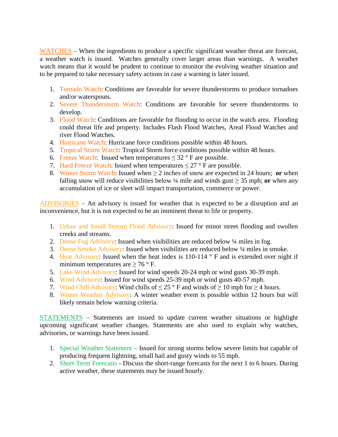WATCHES – When the ingredients to produce a specific significant weather threat are forecast, a weather watch is issued. Watches generally cover larger areas than warnings. A weather watch means that it would be prudent to continue to monitor the evolving weather situation and to be prepared to take necessary safety actions in case a warning is later issued.

- 1. Tornado Watch: Conditions are favorable for severe thunderstorms to produce tornadoes and/or waterspouts.
- 2. Severe Thunderstorm Watch: Conditions are favorable for severe thunderstorms to develop.
- 3. Flood Watch: Conditions are favorable for flooding to occur in the watch area. Flooding could threat life and property. Includes Flash Flood Watches, Areal Flood Watches and river Flood Watches.
- 4. Hurricane Watch: Hurricane force conditions possible within 48 hours.
- 5. Tropical Storm Watch: Tropical Storm force conditions possible within 48 hours.
- 6. Freeze Watch: Issued when temperatures  $\leq 32$  ° F are possible.
- 7. Hard Freeze Watch: Issued when temperatures  $\leq 27$  ° F are possible.
- 8. Winter Storm Watch: Issued when  $\geq 2$  inches of snow are expected in 24 hours; **or** when falling snow will reduce visibilities below  $\frac{1}{4}$  mile and winds gust  $\geq$  35 mph; or when any accumulation of ice or sleet will impact transportation, commerce or power.

ADVISORIES – An advisory is issued for weather that is expected to be a disruption and an inconvenience, but it is not expected to be an imminent threat to life or property.

- 1. Urban and Small Stream Flood Advisory: Issued for minor street flooding and swollen creeks and streams.
- 2. Dense Fog Advisory: Issued when visibilities are reduced below ¼ miles in fog.
- 3. Dense Smoke Advisory: Issued when visibilities are reduced below ¼ miles in smoke.
- 4. Heat Advisory: Issued when the heat index is 110-114  $\degree$  F and is extended over night if minimum temperatures are  $\geq$  76 ° F.
- 5. Lake Wind Advisory: Issued for wind speeds 20-24 mph or wind gusts 30-39 mph.
- 6. Wind Advisory: Issued for wind speeds 25-39 mph or wind gusts 40-57 mph.
- 7. Wind Chill Advisory: Wind chills of  $\leq 25$  ° F and winds of  $\geq 10$  mph for  $\geq 4$  hours.
- 8. Winter Weather Advisory: A winter weather event is possible within 12 hours but will likely remain below warning criteria.

STATEMENTS – Statements are issued to update current weather situations or highlight upcoming significant weather changes. Statements are also used to explain why watches, advisories, or warnings have been issued.

- 1. Special Weather Statement Issued for strong storms below severe limits but capable of producing frequent lightning, small hail and gusty winds to 55 mph.
- 2. Short-Term Forecasts Discuss the short-range forecasts for the next 1 to 6 hours. During active weather, these statements may be issued hourly.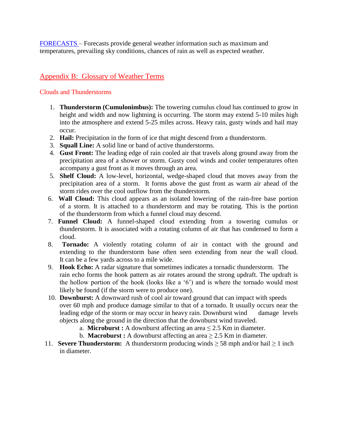FORECASTS – Forecasts provide general weather information such as maximum and temperatures, prevailing sky conditions, chances of rain as well as expected weather.

## Appendix B: Glossary of Weather Terms

#### Clouds and Thunderstorms

- 1. **Thunderstorm (Cumulonimbus):** The towering cumulus cloud has continued to grow in height and width and now lightning is occurring. The storm may extend 5-10 miles high into the atmosphere and extend 5-25 miles across. Heavy rain, gusty winds and hail may occur.
- 2. **Hail:** Precipitation in the form of ice that might descend from a thunderstorm.
- 3. **Squall Line:** A solid line or band of active thunderstorms.
- 4. **Gust Front:** The leading edge of rain cooled air that travels along ground away from the precipitation area of a shower or storm. Gusty cool winds and cooler temperatures often accompany a gust front as it moves through an area.
- 5. **Shelf Cloud:** A low-level, horizontal, wedge-shaped cloud that moves away from the precipitation area of a storm. It forms above the gust front as warm air ahead of the storm rides over the cool outflow from the thunderstorm.
- 6. **Wall Cloud:** This cloud appears as an isolated lowering of the rain-free base portion of a storm. It is attached to a thunderstorm and may be rotating. This is the portion of the thunderstorm from which a funnel cloud may descend.
- 7. **Funnel Cloud:** A funnel-shaped cloud extending from a towering cumulus or thunderstorm. It is associated with a rotating column of air that has condensed to form a cloud.
- 8. **Tornado:** A violently rotating column of air in contact with the ground and extending to the thunderstorm base often seen extending from near the wall cloud. It can be a few yards across to a mile wide.
- 9. **Hook Echo:** A radar signature that sometimes indicates a tornadic thunderstorm. The rain echo forms the hook pattern as air rotates around the strong updraft. The updraft is the hollow portion of the hook (looks like a '6') and is where the tornado would most likely be found (if the storm were to produce one).
- 10. **Downburst:** A downward rush of cool air toward ground that can impact with speeds over 60 mph and produce damage similar to that of a tornado. It usually occurs near the leading edge of the storm or may occur in heavy rain. Downburst wind damage levels objects along the ground in the direction that the downburst wind traveled.
	- a. **Microburst :** A downburst affecting an area  $\leq 2.5$  Km in diameter.
	- b. **Macroburst :** A downburst affecting an area  $\geq 2.5$  Km in diameter.
- 11. **Severe Thunderstorm:** A thunderstorm producing winds  $\geq$  58 mph and/or hail  $\geq$  1 inch in diameter.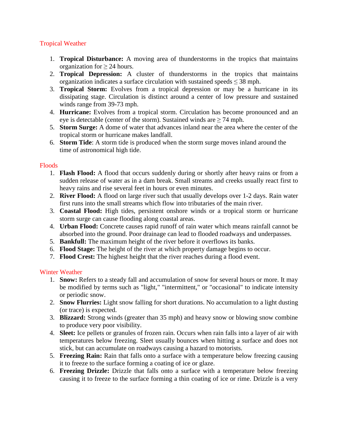#### Tropical Weather

- 1. **Tropical Disturbance:** A moving area of thunderstorms in the tropics that maintains organization for  $\geq 24$  hours.
- 2. **Tropical Depression:** A cluster of thunderstorms in the tropics that maintains organization indicates a surface circulation with sustained speeds  $\leq$  38 mph.
- 3. **Tropical Storm:** Evolves from a tropical depression or may be a hurricane in its dissipating stage. Circulation is distinct around a center of low pressure and sustained winds range from 39-73 mph.
- 4. **Hurricane:** Evolves from a tropical storm. Circulation has become pronounced and an eye is detectable (center of the storm). Sustained winds are  $\geq$  74 mph.
- 5. **Storm Surge:** A dome of water that advances inland near the area where the center of the tropical storm or hurricane makes landfall.
- 6. **Storm Tide**: A storm tide is produced when the storm surge moves inland around the time of astronomical high tide.

#### Floods

- 1. **Flash Flood:** A flood that occurs suddenly during or shortly after heavy rains or from a sudden release of water as in a dam break. Small streams and creeks usually react first to heavy rains and rise several feet in hours or even minutes.
- 2. **River Flood:** A flood on large river such that usually develops over 1-2 days. Rain water first runs into the small streams which flow into tributaries of the main river.
- 3. **Coastal Flood:** High tides, persistent onshore winds or a tropical storm or hurricane storm surge can cause flooding along coastal areas.
- 4. **Urban Flood:** Concrete causes rapid runoff of rain water which means rainfall cannot be absorbed into the ground. Poor drainage can lead to flooded roadways and underpasses.
- 5. **Bankfull:** The maximum height of the river before it overflows its banks.
- 6. **Flood Stage:** The height of the river at which property damage begins to occur.
- 7. **Flood Crest:** The highest height that the river reaches during a flood event.

#### Winter Weather

- 1. **Snow:** Refers to a steady fall and accumulation of snow for several hours or more. It may be modified by terms such as "light," "intermittent," or "occasional" to indicate intensity or periodic snow.
- 2. **Snow Flurries:** Light snow falling for short durations. No accumulation to a light dusting (or trace) is expected.
- 3. **Blizzard:** Strong winds (greater than 35 mph) and heavy snow or blowing snow combine to produce very poor visibility.
- 4. **Sleet:** Ice pellets or granules of frozen rain. Occurs when rain falls into a layer of air with temperatures below freezing. Sleet usually bounces when hitting a surface and does not stick, but can accumulate on roadways causing a hazard to motorists.
- 5. **Freezing Rain:** Rain that falls onto a surface with a temperature below freezing causing it to freeze to the surface forming a coating of ice or glaze.
- 6. **Freezing Drizzle:** Drizzle that falls onto a surface with a temperature below freezing causing it to freeze to the surface forming a thin coating of ice or rime. Drizzle is a very